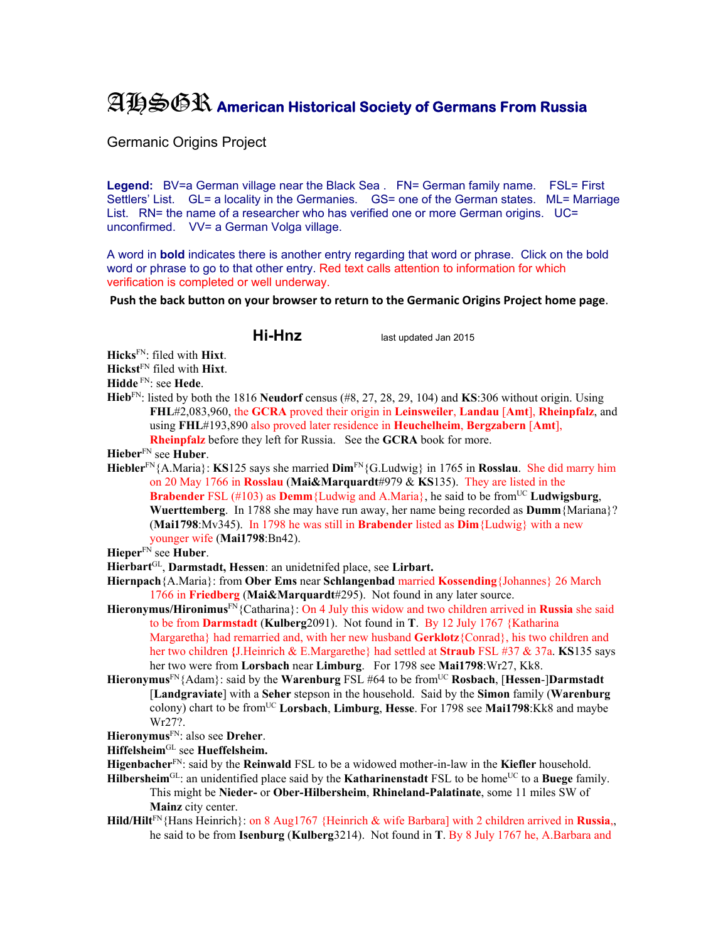## AHSGR **American Historical Society of Germans From Russia**

Germanic Origins Project

**Legend:** BV=a German village near the Black Sea . FN= German family name. FSL= First Settlers' List. GL= a locality in the Germanies. GS= one of the German states. ML= Marriage List. RN= the name of a researcher who has verified one or more German origins. UC= unconfirmed. VV= a German Volga village.

A word in **bold** indicates there is another entry regarding that word or phrase. Click on the bold word or phrase to go to that other entry. Red text calls attention to information for which verification is completed or well underway.

**Push the back button on your browser to return to the Germanic Origins Project home page**.

**Hi-Hnz** last updated Jan 2015

**Hicks**FN: filed with **Hixt**.

**Hickst**FN filed with **Hixt**.

**Hidde** FN: see **Hede**.

**Hieb**FN: listed by both the 1816 **Neudorf** census (#8, 27, 28, 29, 104) and **KS**:306 without origin. Using **FHL**#2,083,960, the **GCRA** proved their origin in **Leinsweiler**, **Landau** [**Amt**], **Rheinpfalz**, and using **FHL**#193,890 also proved later residence in **Heuchelheim**, **Bergzabern** [**Amt**], **Rheinpfalz** before they left for Russia. See the **GCRA** book for more.

**Hieber**FN see **Huber**.

**Hiebler**FN{A.Maria}: **KS**125 says she married **Dim**FN{G.Ludwig} in 1765 in **Rosslau**. She did marry him on 20 May 1766 in **Rosslau** (**Mai&Marquardt**#979 & **KS**135). They are listed in the **Brabender** FSL (#103) as **Demm**{Ludwig and A.Maria}, he said to be fromUC **Ludwigsburg**, **Wuerttemberg**. In 1788 she may have run away, her name being recorded as **Dumm**{Mariana}? (**Mai1798**:Mv345). In 1798 he was still in **Brabender** listed as **Dim**{Ludwig} with a new younger wife (**Mai1798**:Bn42).

**Hieper**FN see **Huber**.

- **Hierbart**GL, **Darmstadt, Hessen**: an unidetnifed place, see **Lirbart.**
- **Hiernpach**{A.Maria}: from **Ober Ems** near **Schlangenbad** married **Kossending**{Johannes} 26 March 1766 in **Friedberg** (**Mai&Marquardt**#295). Not found in any later source.
- **Hieronymus/Hironimus**FN{Catharina}: On 4 July this widow and two children arrived in **Russia** she said to be from **Darmstadt** (**Kulberg**2091). Not found in **T**. By 12 July 1767 {Katharina Margaretha} had remarried and, with her new husband **Gerklotz**{Conrad}, his two children and her two children **{**J.Heinrich & E.Margarethe} had settled at **Straub** FSL #37 & 37a. **KS**135 says her two were from **Lorsbach** near **Limburg**. For 1798 see **Mai1798**:Wr27, Kk8.
- **Hieronymus**<sup>FN</sup>{Adam}: said by the **Warenburg** FSL #64 to be from<sup>UC</sup> **Rosbach**, [**Hessen-**]Darmstadt [**Landgraviate**] with a **Seher** stepson in the household. Said by the **Simon** family (**Warenburg** colony) chart to be fromUC **Lorsbach**, **Limburg**, **Hesse**. For 1798 see **Mai1798**:Kk8 and maybe Wr27?.

**Hieronymus**FN: also see **Dreher**.

**Hiffelsheim**GL see **Hueffelsheim.** 

- **Higenbacher**FN: said by the **Reinwald** FSL to be a widowed mother-in-law in the **Kiefler** household.
- Hilbersheim<sup>GL</sup>: an unidentified place said by the **Katharinenstadt** FSL to be home<sup>UC</sup> to a Buege family. This might be **Nieder-** or **Ober-Hilbersheim**, **Rhineland-Palatinate**, some 11 miles SW of **Mainz** city center.
- **Hild/Hilt**FN{Hans Heinrich}: on 8 Aug1767 {Heinrich & wife Barbara] with 2 children arrived in **Russia**,, he said to be from **Isenburg** (**Kulberg**3214). Not found in **T**. By 8 July 1767 he, A.Barbara and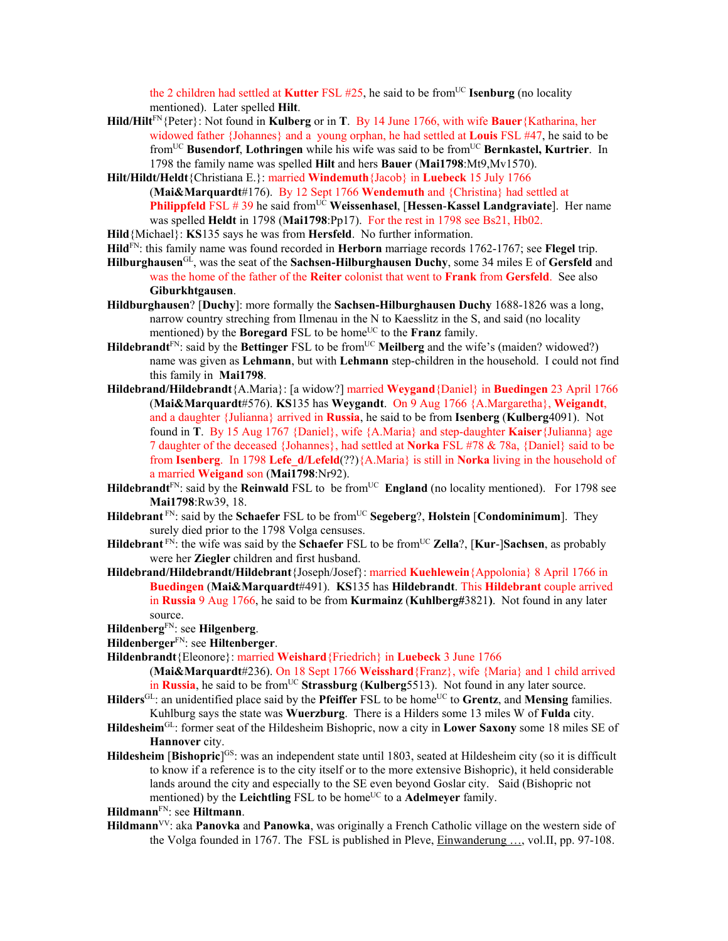the 2 children had settled at **Kutter** FSL  $#25$ , he said to be from<sup>UC</sup> **Isenburg** (no locality mentioned). Later spelled **Hilt**.

- **Hild/Hilt**FN{Peter}: Not found in **Kulberg** or in **T**. By 14 June 1766, with wife **Bauer**{Katharina, her widowed father {Johannes} and a young orphan, he had settled at **Louis** FSL #47, he said to be fromUC **Busendorf**, **Lothringen** while his wife was said to be fromUC **Bernkastel, Kurtrier**. In 1798 the family name was spelled **Hilt** and hers **Bauer** (**Mai1798**:Mt9,Mv1570).
- **Hilt/Hildt/Heldt**{Christiana E.}: married **Windemuth**{Jacob} in **Luebeck** 15 July 1766 (**Mai&Marquardt**#176). By 12 Sept 1766 **Wendemuth** and {Christina} had settled at **Philippfeld** FSL # 39 he said from<sup>UC</sup> Weissenhasel, [Hessen-Kassel Landgraviate]. Her name was spelled **Heldt** in 1798 (**Mai1798**:Pp17). For the rest in 1798 see Bs21, Hb02.

**Hild**{Michael}: **KS**135 says he was from **Hersfeld**. No further information.

**Hild**FN: this family name was found recorded in **Herborn** marriage records 1762-1767; see **Flegel** trip.

- **Hilburghausen**GL, was the seat of the **Sachsen-Hilburghausen Duchy**, some 34 miles E of **Gersfeld** and was the home of the father of the **Reiter** colonist that went to **Frank** from **Gersfeld**. See also **Giburkhtgausen**.
- **Hildburghausen**? [**Duchy**]: more formally the **Sachsen-Hilburghausen Duchy** 1688-1826 was a long, narrow country streching from Ilmenau in the N to Kaesslitz in the S, and said (no locality mentioned) by the **Boregard** FSL to be home<sup>UC</sup> to the **Franz** family.
- Hildebrandt<sup>FN</sup>: said by the Bettinger FSL to be from<sup>UC</sup> Meilberg and the wife's (maiden? widowed?) name was given as **Lehmann**, but with **Lehmann** step-children in the household. I could not find this family in **Mai1798**.
- **Hildebrand/Hildebrandt**{A.Maria}: [a widow?] married **Weygand**{Daniel} in **Buedingen** 23 April 1766 (**Mai&Marquardt**#576). **KS**135 has **Weygandt**. On 9 Aug 1766 {A.Margaretha}, **Weigandt**, and a daughter {Julianna} arrived in **Russia**, he said to be from **Isenberg** (**Kulberg**4091). Not found in **T**. By 15 Aug 1767 {Daniel}, wife {A.Maria} and step-daughter **Kaiser**{Julianna} age 7 daughter of the deceased {Johannes}, had settled at **Norka** FSL #78 & 78a, {Daniel} said to be from **Isenberg**. In 1798 **Lefe\_d/Lefeld**(??){A.Maria} is still in **Norka** living in the household of a married **Weigand** son (**Mai1798**:Nr92).
- **Hildebrandt**<sup>FN</sup>: said by the **Reinwald** FSL to be from<sup>UC</sup> **England** (no locality mentioned). For 1798 see **Mai1798**:Rw39, 18.
- **Hildebrant** FN: said by the **Schaefer** FSL to be from<sup>UC</sup> **Segeberg**?, **Holstein** [**Condominimum**]. They surely died prior to the 1798 Volga censuses.
- **Hildebrant** FN: the wife was said by the **Schaefer** FSL to be from<sup>UC</sup> **Zella**?, [**Kur-**]Sachsen, as probably were her **Ziegler** children and first husband.
- **Hildebrand/Hildebrandt/Hildebrant**{Joseph/Josef}: married **Kuehlewein**{Appolonia} 8 April 1766 in **Buedingen** (**Mai&Marquardt**#491). **KS**135 has **Hildebrandt**. This **Hildebrant** couple arrived in **Russia** 9 Aug 1766, he said to be from **Kurmainz** (**Kuhlberg#**3821**)**. Not found in any later source.
- **Hildenberg**FN: see **Hilgenberg**.
- **Hildenberger**FN: see **Hiltenberger**.
- **Hildenbrandt**{Eleonore}: married **Weishard**{Friedrich} in **Luebeck** 3 June 1766

(**Mai&Marquardt**#236). On 18 Sept 1766 **Weisshard**{Franz}, wife {Maria} and 1 child arrived in **Russia**, he said to be from<sup>UC</sup> **Strassburg** (**Kulberg**5513). Not found in any later source.

- **Hilders**<sup>GL</sup>: an unidentified place said by the **Pfeiffer** FSL to be home<sup>UC</sup> to **Grentz**, and **Mensing** families. Kuhlburg says the state was **Wuerzburg**. There is a Hilders some 13 miles W of **Fulda** city.
- **Hildesheim**GL: former seat of the Hildesheim Bishopric, now a city in **Lower Saxony** some 18 miles SE of **Hannover** city.
- **Hildesheim [Bishopric**]<sup>GS</sup>: was an independent state until 1803, seated at Hildesheim city (so it is difficult to know if a reference is to the city itself or to the more extensive Bishopric), it held considerable lands around the city and especially to the SE even beyond Goslar city. Said (Bishopric not mentioned) by the Leichtling FSL to be home<sup>UC</sup> to a **Adelmeyer** family.

## **Hildmann**FN: see **Hiltmann**.

**Hildmann**VV: aka **Panovka** and **Panowka**, was originally a French Catholic village on the western side of the Volga founded in 1767. The FSL is published in Pleve, Einwanderung …, vol.II, pp. 97-108.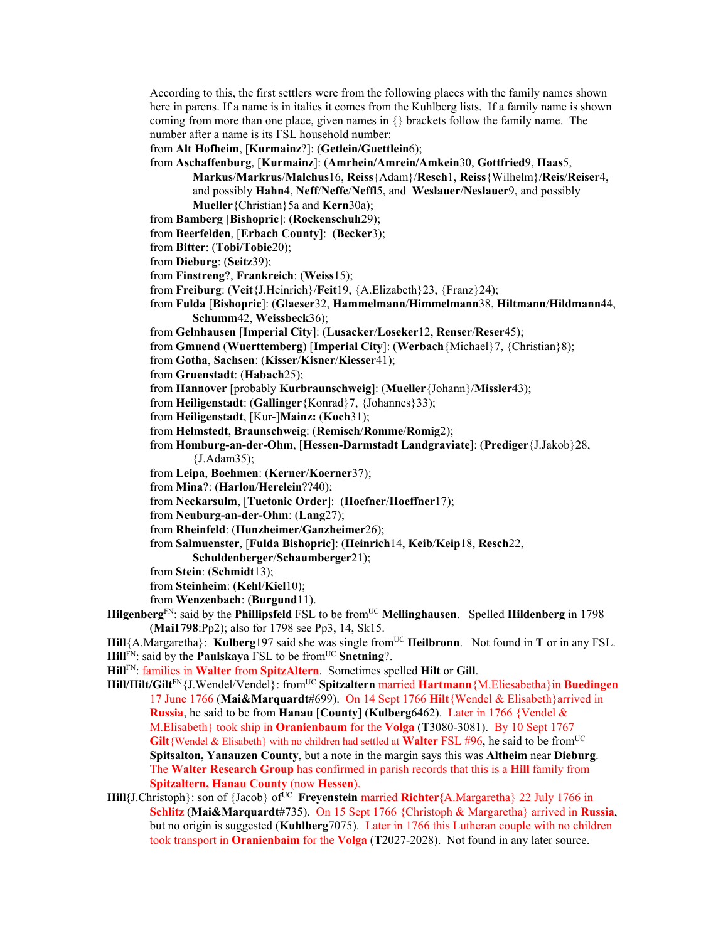According to this, the first settlers were from the following places with the family names shown here in parens. If a name is in italics it comes from the Kuhlberg lists. If a family name is shown coming from more than one place, given names in  $\{\}$  brackets follow the family name. The number after a name is its FSL household number:

from **Alt Hofheim**, [**Kurmainz**?]: (**Getlein/Guettlein**6);

- from **Aschaffenburg**, [**Kurmainz**]: (**Amrhein/Amrein/Amkein**30, **Gottfried**9, **Haas**5, **Markus**/**Markrus**/**Malchus**16, **Reiss**{Adam}/**Resch**1, **Reiss**{Wilhelm}/**Reis**/**Reiser**4, and possibly **Hahn**4, **Neff**/**Neffe**/**Neffl**5, and **Weslauer**/**Neslauer**9, and possibly **Mueller**{Christian}5a and **Kern**30a);
- from **Bamberg** [**Bishopric**]: (**Rockenschuh**29);
- from **Beerfelden**, [**Erbach County**]: (**Becker**3);
- from **Bitter**: (**Tobi/Tobie**20);
- from **Dieburg**: (**Seitz**39);
- from **Finstreng**?, **Frankreich**: (**Weiss**15);
- from **Freiburg**: (**Veit**{J.Heinrich}/**Feit**19, {A.Elizabeth}23, {Franz}24);
- from **Fulda** [**Bishopric**]: (**Glaeser**32, **Hammelmann**/**Himmelmann**38, **Hiltmann**/**Hildmann**44, **Schumm**42, **Weissbeck**36);
- from **Gelnhausen** [**Imperial City**]: (**Lusacker**/**Loseker**12, **Renser**/**Reser**45);
- from **Gmuend** (**Wuerttemberg**) [**Imperial City**]: (**Werbach**{Michael}7, {Christian}8);
- from **Gotha**, **Sachsen**: (**Kisser**/**Kisner**/**Kiesser**41);
- from **Gruenstadt**: (**Habach**25);
- from **Hannover** [probably **Kurbraunschweig**]: (**Mueller**{Johann}/**Missler**43);
- from **Heiligenstadt**: (**Gallinger**{Konrad}7, {Johannes}33);
- from **Heiligenstadt**, [Kur-]**Mainz:** (**Koch**31);
- from **Helmstedt**, **Braunschweig**: (**Remisch**/**Romme**/**Romig**2);
- from **Homburg-an-der-Ohm**, [**Hessen-Darmstadt Landgraviate**]: (**Prediger**{J.Jakob}28, {J.Adam35);
- from **Leipa**, **Boehmen**: (**Kerner**/**Koerner**37);
- from **Mina**?: (**Harlon**/**Herelein**??40);
- from **Neckarsulm**, [**Tuetonic Order**]: (**Hoefner**/**Hoeffner**17);
- from **Neuburg-an-der-Ohm**: (**Lang**27);
- from **Rheinfeld**: (**Hunzheimer**/**Ganzheimer**26);
- from **Salmuenster**, [**Fulda Bishopric**]: (**Heinrich**14, **Keib**/**Keip**18, **Resch**22,
	- **Schuldenberger**/**Schaumberger**21);
- from **Stein**: (**Schmidt**13);
- from **Steinheim**: (**Kehl**/**Kiel**10);
- from **Wenzenbach**: (**Burgund**11).
- **Hilgenberg**<sup>FN</sup>: said by the **Phillipsfeld** FSL to be from<sup>UC</sup> **Mellinghausen**. Spelled **Hildenberg** in 1798 (**Mai1798**:Pp2); also for 1798 see Pp3, 14, Sk15.
- **Hill**{A.Margaretha}: **Kulberg**197 said she was single from<sup>UC</sup> **Heilbronn**. Not found in **T** or in any FSL. **Hill**FN: said by the **Paulskaya** FSL to be from<sup>UC</sup> **Snetning**?.
- **Hill**FN: families in **Walter** from **SpitzAltern**. Sometimes spelled **Hilt** or **Gill**.
- **Hill/Hilt/Gilt**FN{J.Wendel/Vendel}: fromUC **Spitzaltern** married **Hartmann**{M.Eliesabetha}in **Buedingen** 17 June 1766 (**Mai&Marquardt**#699). On 14 Sept 1766 **Hilt**{Wendel & Elisabeth}arrived in **Russia**, he said to be from **Hanau** [**County**] (**Kulberg**6462). Later in 1766 {Vendel & M.Elisabeth} took ship in **Oranienbaum** for the **Volga** (**T**3080-3081). By 10 Sept 1767 Gilt {Wendel & Elisabeth} with no children had settled at Walter FSL #96, he said to be from<sup>UC</sup> **Spitsalton, Yanauzen County**, but a note in the margin says this was **Altheim** near **Dieburg**. The **Walter Research Group** has confirmed in parish records that this is a **Hill** family from **Spitzaltern, Hanau County** (now **Hessen**).
- Hill{J.Christoph}: son of {Jacob} of<sup>UC</sup> Freyenstein married Richter{A.Margaretha} 22 July 1766 in **Schlitz** (**Mai&Marquardt**#735). On 15 Sept 1766 {Christoph & Margaretha} arrived in **Russia**, but no origin is suggested (**Kuhlberg**7075). Later in 1766 this Lutheran couple with no children took transport in **Oranienbaim** for the **Volga** (**T**2027-2028). Not found in any later source.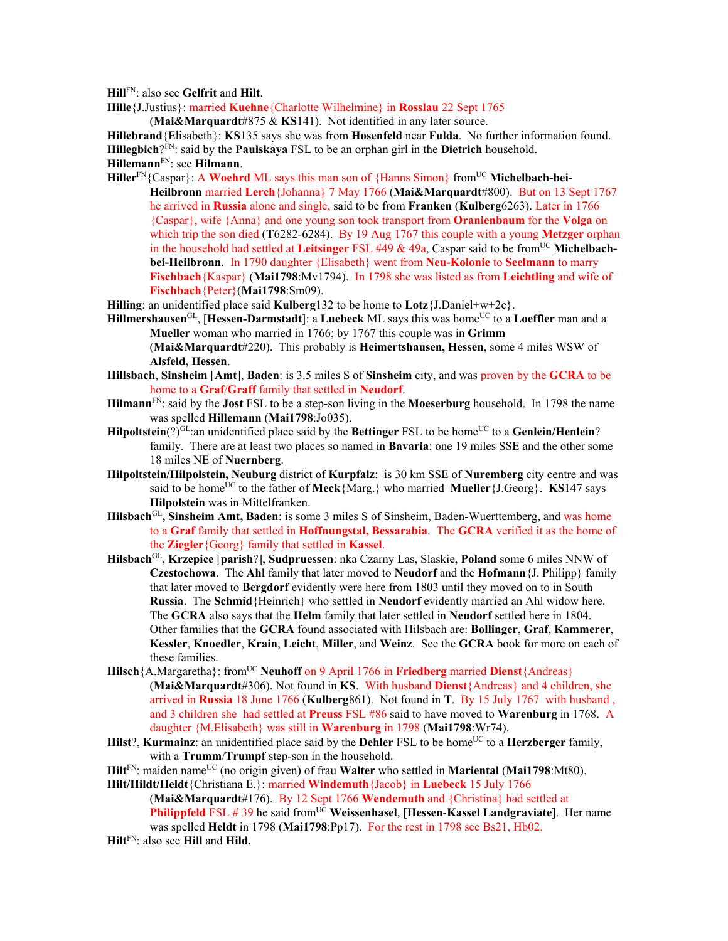**Hill**FN: also see **Gelfrit** and **Hilt**.

**Hille**{J.Justius}: married **Kuehne**{Charlotte Wilhelmine} in **Rosslau** 22 Sept 1765

(**Mai&Marquardt**#875 & **KS**141). Not identified in any later source.

**Hillebrand**{Elisabeth}: **KS**135 says she was from **Hosenfeld** near **Fulda**. No further information found. **Hillegbich**?FN: said by the **Paulskaya** FSL to be an orphan girl in the **Dietrich** household. **Hillemann**FN: see **Hilmann**.

Hiller<sup>FN</sup>{Caspar}: A Woehrd ML says this man son of {Hanns Simon} from<sup>UC</sup> Michelbach-bei-**Heilbronn** married **Lerch**{Johanna} 7 May 1766 (**Mai&Marquardt**#800). But on 13 Sept 1767 he arrived in **Russia** alone and single, said to be from **Franken** (**Kulberg**6263). Later in 1766 {Caspar}, wife {Anna} and one young son took transport from **Oranienbaum** for the **Volga** on which trip the son died (**T**6282-6284). By 19 Aug 1767 this couple with a young **Metzger** orphan in the household had settled at **Leitsinger** FSL  $\#49 \& 49a$ , Caspar said to be from<sup>UC</sup> Michelbach**bei-Heilbronn**. In 1790 daughter {Elisabeth} went from **Neu-Kolonie** to **Seelmann** to marry **Fischbach**{Kaspar} (**Mai1798**:Mv1794). In 1798 she was listed as from **Leichtling** and wife of **Fischbach**{Peter}(**Mai1798**:Sm09).

**Hilling**: an unidentified place said **Kulberg**132 to be home to **Lotz**{J.Daniel+w+2c}.

- **Hillmershausen**<sup>GL</sup>, [Hessen-Darmstadt]: a Luebeck ML says this was home<sup>UC</sup> to a Loeffler man and a **Mueller** woman who married in 1766; by 1767 this couple was in **Grimm** (**Mai&Marquardt**#220). This probably is **Heimertshausen, Hessen**, some 4 miles WSW of **Alsfeld, Hessen**.
- **Hillsbach**, **Sinsheim** [**Amt**], **Baden**: is 3.5 miles S of **Sinsheim** city, and was proven by the **GCRA** to be home to a **Graf**/**Graff** family that settled in **Neudorf**.
- **Hilmann**FN: said by the **Jost** FSL to be a step-son living in the **Moeserburg** household. In 1798 the name was spelled **Hillemann** (**Mai1798**:Jo035).
- **Hilpoltstein**(?) $GE$ :an unidentified place said by the **Bettinger** FSL to be home<sup>UC</sup> to a **Genlein/Henlein**? family. There are at least two places so named in **Bavaria**: one 19 miles SSE and the other some 18 miles NE of **Nuernberg**.
- **Hilpoltstein/Hilpolstein, Neuburg** district of **Kurpfalz**: is 30 km SSE of **Nuremberg** city centre and was said to be home<sup>UC</sup> to the father of **Meck** ${$ [Marg.] who married **Mueller** ${J.Georg}$ . **KS**147 says **Hilpolstein** was in Mittelfranken.
- **Hilsbach**GL**, Sinsheim Amt, Baden**: is some 3 miles S of Sinsheim, Baden-Wuerttemberg, and was home to a **Graf** family that settled in **Hoffnungstal, Bessarabia**. The **GCRA** verified it as the home of the **Ziegler**{Georg} family that settled in **Kassel**.
- **Hilsbach**GL, **Krzepice** [**parish**?], **Sudpruessen**: nka Czarny Las, Slaskie, **Poland** some 6 miles NNW of **Czestochowa**. The **Ahl** family that later moved to **Neudorf** and the **Hofmann**{J. Philipp} family that later moved to **Bergdorf** evidently were here from 1803 until they moved on to in South **Russia**. The **Schmid**{Heinrich} who settled in **Neudorf** evidently married an Ahl widow here. The **GCRA** also says that the **Helm** family that later settled in **Neudorf** settled here in 1804. Other families that the **GCRA** found associated with Hilsbach are: **Bollinger**, **Graf**, **Kammerer**, **Kessler**, **Knoedler**, **Krain**, **Leicht**, **Miller**, and **Weinz**. See the **GCRA** book for more on each of these families.
- **Hilsch**{A.Margaretha}: from<sup>UC</sup> **Neuhoff** on 9 April 1766 in **Friedberg** married **Dienst**{Andreas} (**Mai&Marquardt**#306). Not found in **KS**. With husband **Dienst**{Andreas} and 4 children, she arrived in **Russia** 18 June 1766 (**Kulberg**861). Not found in **T**. By 15 July 1767 with husband , and 3 children she had settled at **Preuss** FSL #86 said to have moved to **Warenburg** in 1768. A daughter {M.Elisabeth} was still in **Warenburg** in 1798 (**Mai1798**:Wr74).
- **Hilst**?, **Kurmainz**: an unidentified place said by the **Dehler** FSL to be home<sup>UC</sup> to a **Herzberger** family, with a **Trumm**/**Trumpf** step-son in the household.
- **Hilt**<sup>FN</sup>: maiden name<sup>UC</sup> (no origin given) of frau **Walter** who settled in **Mariental (Mai1798**:Mt80).

**Hilt/Hildt/Heldt**{Christiana E.}: married **Windemuth**{Jacob} in **Luebeck** 15 July 1766 (**Mai&Marquardt**#176). By 12 Sept 1766 **Wendemuth** and {Christina} had settled at **Philippfeld** FSL # 39 he said fromUC **Weissenhasel**, [**Hessen**-**Kassel Landgraviate**]. Her name was spelled **Heldt** in 1798 (**Mai1798**:Pp17). For the rest in 1798 see Bs21, Hb02.

**Hilt**FN: also see **Hill** and **Hild.**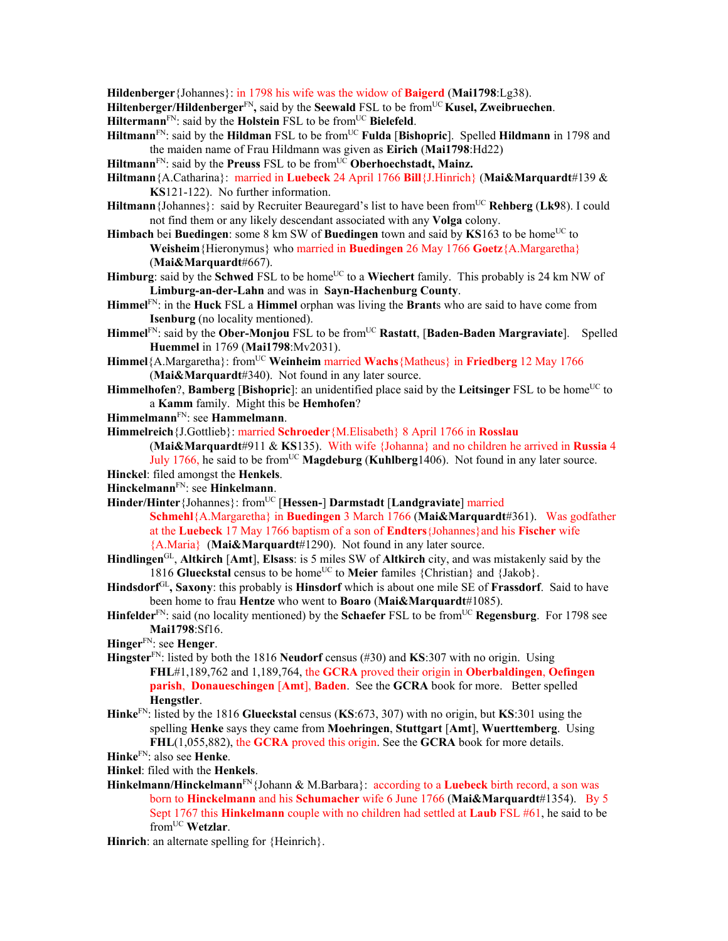**Hildenberger**{Johannes}: in 1798 his wife was the widow of **Baigerd** (**Mai1798**:Lg38).

Hiltenberger/Hildenberger<sup>FN</sup>, said by the Seewald FSL to be from<sup>UC</sup> Kusel, Zweibruechen.

**Hiltermann**<sup>FN</sup>: said by the **Holstein** FSL to be from<sup>UC</sup> Bielefeld.

- **Hiltmann**<sup>FN</sup>: said by the **Hildman** FSL to be from<sup>UC</sup> **Fulda** [Bishopric]. Spelled **Hildmann** in 1798 and the maiden name of Frau Hildmann was given as **Eirich** (**Mai1798**:Hd22)
- Hiltmann<sup>FN</sup>: said by the **Preuss** FSL to be from<sup>UC</sup> Oberhoechstadt, Mainz.
- **Hiltmann**{A.Catharina}: married in **Luebeck** 24 April 1766 **Bill**{J.Hinrich} (**Mai&Marquardt**#139 & **KS**121-122). No further information.
- Hiltmann {Johannes}: said by Recruiter Beauregard's list to have been from<sup>UC</sup> Rehberg (Lk98). I could not find them or any likely descendant associated with any **Volga** colony.
- **Himbach** bei **Buedingen**: some 8 km SW of **Buedingen** town and said by KS163 to be home<sup>UC</sup> to **Weisheim**{Hieronymus} who married in **Buedingen** 26 May 1766 **Goetz**{A.Margaretha} (**Mai&Marquardt**#667).
- **Himburg**: said by the **Schwed** FSL to be home<sup>UC</sup> to a **Wiechert** family. This probably is 24 km NW of **Limburg-an-der-Lahn** and was in **Sayn-Hachenburg County**.
- **Himmel**FN: in the **Huck** FSL a **Himmel** orphan was living the **Brant**s who are said to have come from **Isenburg** (no locality mentioned).
- Himmel<sup>FN</sup>: said by the Ober-Monjou FSL to be from<sup>UC</sup> Rastatt, [Baden-Baden Margraviate]. Spelled **Huemmel** in 1769 (**Mai1798**:Mv2031).
- **Himmel**{A.Margaretha}: fromUC **Weinheim** married **Wachs**{Matheus} in **Friedberg** 12 May 1766 (**Mai&Marquardt**#340). Not found in any later source.
- Himmelhofen?, Bamberg [Bishopric]: an unidentified place said by the Leitsinger FSL to be home<sup>UC</sup> to a **Kamm** family. Might this be **Hemhofen**?
- **Himmelmann**FN: see **Hammelmann**.
- **Himmelreich**{J.Gottlieb}: married **Schroeder**{M.Elisabeth} 8 April 1766 in **Rosslau**

(**Mai&Marquardt**#911 & **KS**135). With wife {Johanna} and no children he arrived in **Russia** 4 July 1766, he said to be from<sup>UC</sup> **Magdeburg** (**Kuhlberg**1406). Not found in any later source.

**Hinckel**: filed amongst the **Henkels**.

**Hinckelmann**FN: see **Hinkelmann**.

- **Hinder/Hinter**{Johannes}: fromUC [**Hessen-**] **Darmstadt** [**Landgraviate**] married **Schmehl**{A.Margaretha} in **Buedingen** 3 March 1766 (**Mai&Marquardt**#361). Was godfather at the **Luebeck** 17 May 1766 baptism of a son of **Endters**{Johannes}and his **Fischer** wife {A.Maria} (**Mai&Marquardt**#1290). Not found in any later source.
- **Hindlingen**GL, **Altkirch** [**Amt**], **Elsass**: is 5 miles SW of **Altkirch** city, and was mistakenly said by the 1816 **Glueckstal** census to be home<sup>UC</sup> to **Meier** familes {Christian} and {Jakob}.
- **Hindsdorf**GL**, Saxony**: this probably is **Hinsdorf** which is about one mile SE of **Frassdorf**. Said to have been home to frau **Hentze** who went to **Boaro** (**Mai&Marquardt**#1085).
- **Hinfelder**FN: said (no locality mentioned) by the **Schaefer** FSL to be fromUC **Regensburg**. For 1798 see **Mai1798**:Sf16.
- **Hinger**FN: see **Henger**.
- **Hingster**FN: listed by both the 1816 **Neudorf** census (#30) and **KS**:307 with no origin. Using **FHL**#1,189,762 and 1,189,764, the **GCRA** proved their origin in **Oberbaldingen**, **Oefingen parish**, **Donaueschingen** [**Amt**], **Baden**. See the **GCRA** book for more. Better spelled **Hengstler**.
- **Hinke**FN: listed by the 1816 **Glueckstal** census (**KS**:673, 307) with no origin, but **KS**:301 using the spelling **Henke** says they came from **Moehringen**, **Stuttgart** [**Amt**], **Wuerttemberg**. Using **FHL**(1,055,882), the **GCRA** proved this origin. See the **GCRA** book for more details.
- **Hinke**FN: also see **Henke**.
- **Hinkel**: filed with the **Henkels**.
- **Hinkelmann/Hinckelmann**FN{Johann & M.Barbara}: according to a **Luebeck** birth record, a son was born to **Hinckelmann** and his **Schumacher** wife 6 June 1766 (**Mai&Marquardt**#1354). By 5 Sept 1767 this **Hinkelmann** couple with no children had settled at **Laub** FSL #61, he said to be fromUC **Wetzlar**.

**Hinrich**: an alternate spelling for {Heinrich}.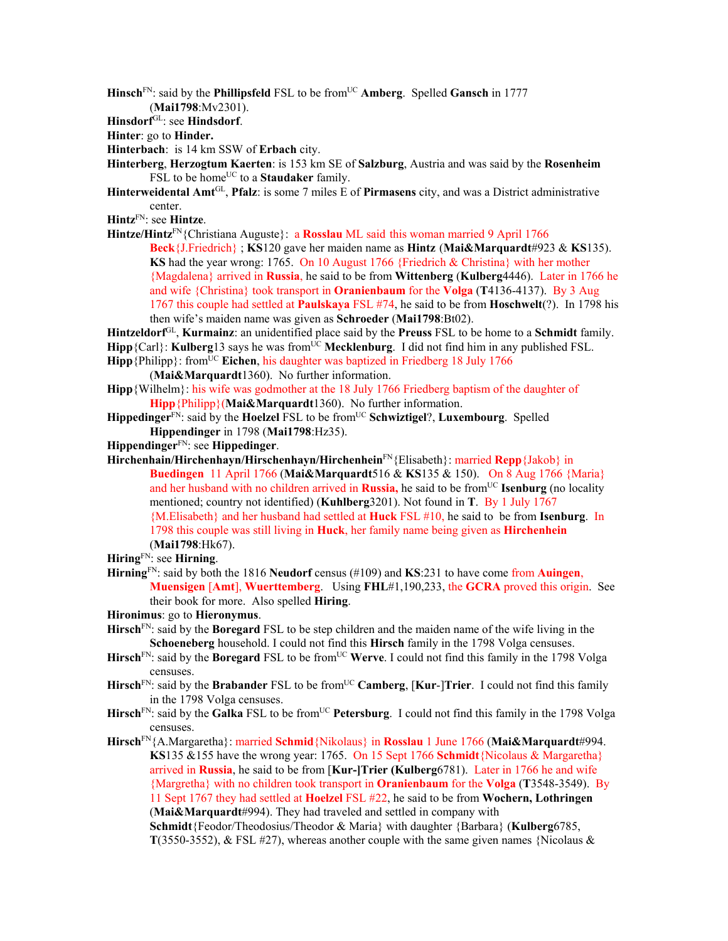**Hinsch**<sup>FN</sup>: said by the **Phillipsfeld** FSL to be from<sup>UC</sup> **Amberg**. Spelled **Gansch** in 1777 (**Mai1798**:Mv2301).

**Hinsdorf**GL: see **Hindsdorf**.

**Hinter**: go to **Hinder.** 

**Hinterbach**: is 14 km SSW of **Erbach** city.

**Hinterberg**, **Herzogtum Kaerten**: is 153 km SE of **Salzburg**, Austria and was said by the **Rosenheim** FSL to be home<sup>UC</sup> to a **Staudaker** family.

**Hinterweidental Amt**GL, **Pfalz**: is some 7 miles E of **Pirmasens** city, and was a District administrative center.

**Hintz**FN: see **Hintze**.

Hintze/Hintz<sup>FN</sup>{Christiana Auguste}: a **Rosslau** ML said this woman married 9 April 1766

**Beck**{J.Friedrich} ; **KS**120 gave her maiden name as **Hintz** (**Mai&Marquardt**#923 & **KS**135). **KS** had the year wrong: 1765. On 10 August 1766 {Friedrich & Christina} with her mother {Magdalena} arrived in **Russia**, he said to be from **Wittenberg** (**Kulberg**4446). Later in 1766 he and wife {Christina} took transport in **Oranienbaum** for the **Volga** (**T**4136-4137). By 3 Aug 1767 this couple had settled at **Paulskaya** FSL #74, he said to be from **Hoschwelt**(?). In 1798 his then wife's maiden name was given as **Schroeder** (**Mai1798**:Bt02).

**Hintzeldorf**GL, **Kurmainz**: an unidentified place said by the **Preuss** FSL to be home to a **Schmidt** family.

- Hipp<sup>{Carl}:</sup> **Kulberg**13 says he was from<sup>UC</sup> Mecklenburg. I did not find him in any published FSL.
- **Hipp** {Philipp}: from<sup>UC</sup> **Eichen**, his daughter was baptized in Friedberg 18 July 1766 (**Mai&Marquardt**1360). No further information.
- **Hipp**{Wilhelm}: his wife was godmother at the 18 July 1766 Friedberg baptism of the daughter of **Hipp**{Philipp}(**Mai&Marquardt**1360). No further information.
- **Hippedinger**<sup>FN</sup>: said by the **Hoelzel** FSL to be from<sup>UC</sup> Schwiztigel?, Luxembourg. Spelled **Hippendinger** in 1798 (**Mai1798**:Hz35).
- **Hippendinger**FN: see **Hippedinger**.
- **Hirchenhain/Hirchenhayn/Hirschenhayn/Hirchenhein**FN{Elisabeth}: married **Repp**{Jakob} in **Buedingen** 11 April 1766 (**Mai&Marquardt**516 & **KS**135 & 150). On 8 Aug 1766 {Maria} and her husband with no children arrived in **Russia**, he said to be from<sup>UC</sup> **Isenburg** (no locality mentioned; country not identified) (**Kuhlberg**3201). Not found in **T**. By 1 July 1767 {M.Elisabeth} and her husband had settled at **Huck** FSL #10, he said to be from **Isenburg**. In 1798 this couple was still living in **Huck**, her family name being given as **Hirchenhein** (**Mai1798**:Hk67).

**Hiring**FN: see **Hirning**.

- **Hirning**FN: said by both the 1816 **Neudorf** census (#109) and **KS**:231 to have come from **Auingen**, **Muensigen** [**Amt**], **Wuerttemberg**. Using **FHL**#1,190,233, the **GCRA** proved this origin. See their book for more. Also spelled **Hiring**.
- **Hironimus**: go to **Hieronymus**.
- **Hirsch**FN: said by the **Boregard** FSL to be step children and the maiden name of the wife living in the **Schoeneberg** household. I could not find this **Hirsch** family in the 1798 Volga censuses.
- **Hirsch**<sup>FN</sup>: said by the **Boregard** FSL to be from<sup>UC</sup> Werve. I could not find this family in the 1798 Volga censuses.
- Hirsch<sup>FN</sup>: said by the **Brabander** FSL to be from<sup>UC</sup> Camberg, [Kur-]Trier. I could not find this family in the 1798 Volga censuses.
- Hirsch<sup>FN</sup>: said by the **Galka** FSL to be from<sup>UC</sup> Petersburg. I could not find this family in the 1798 Volga censuses.

**Hirsch**FN{A.Margaretha}: married **Schmid**{Nikolaus} in **Rosslau** 1 June 1766 (**Mai&Marquardt**#994. **KS**135 &155 have the wrong year: 1765. On 15 Sept 1766 **Schmidt**{Nicolaus & Margaretha} arrived in **Russia**, he said to be from [**Kur-]Trier (Kulberg**6781). Later in 1766 he and wife {Margretha} with no children took transport in **Oranienbaum** for the **Volga** (**T**3548-3549). By 11 Sept 1767 they had settled at **Hoelzel** FSL #22, he said to be from **Wochern, Lothringen**  (**Mai&Marquardt**#994). They had traveled and settled in company with

**Schmidt**{Feodor/Theodosius/Theodor & Maria} with daughter {Barbara} (**Kulberg**6785, **T**(3550-3552), & FSL #27), whereas another couple with the same given names {Nicolaus &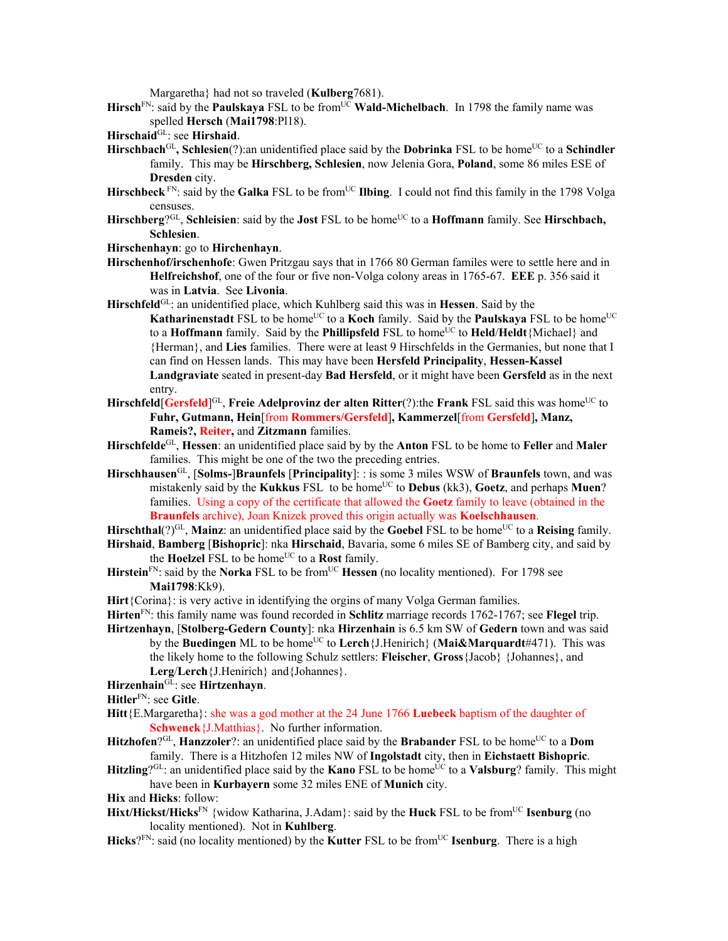Margaretha} had not so traveled (**Kulberg**7681).

Hirsch<sup>FN</sup>: said by the **Paulskaya** FSL to be from<sup>UC</sup> Wald-Michelbach. In 1798 the family name was spelled **Hersch** (**Mai1798**:Pl18).

- Hirschbach<sup>GL</sup>, Schlesien(?):an unidentified place said by the **Dobrinka** FSL to be home<sup>UC</sup> to a Schindler family. This may be **Hirschberg, Schlesien**, now Jelenia Gora, **Poland**, some 86 miles ESE of **Dresden** city.
- Hirschbeck<sup>FN</sup>: said by the **Galka** FSL to be from<sup>UC</sup> **Ilbing**. I could not find this family in the 1798 Volga censuses.
- Hirschberg<sup>?GL</sup>, Schleisien: said by the **Jost** FSL to be home<sup>UC</sup> to a **Hoffmann** family. See **Hirschbach**, **Schlesien**.
- **Hirschenhayn**: go to **Hirchenhayn**.
- **Hirschenhof/irschenhofe**: Gwen Pritzgau says that in 1766 80 German familes were to settle here and in **Helfreichshof**, one of the four or five non-Volga colony areas in 1765-67. **EEE** p. 356 said it was in **Latvia**. See **Livonia**.
- **Hirschfeld**GL: an unidentified place, which Kuhlberg said this was in **Hessen**. Said by the
	- **Katharinenstadt** FSL to be home<sup>UC</sup> to a **Koch** family. Said by the **Paulskaya** FSL to be home<sup>UC</sup> to a **Hoffmann** family. Said by the **Phillipsfeld** FSL to home<sup>UC</sup> to **Held/Heldt**{Michael} and {Herman}, and **Lies** families. There were at least 9 Hirschfelds in the Germanies, but none that I can find on Hessen lands. This may have been **Hersfeld Principality**, **Hessen-Kassel Landgraviate** seated in present-day **Bad Hersfeld**, or it might have been **Gersfeld** as in the next entry.
- **Hirschfeld** [Gersfeld]<sup>GL</sup>, **Freie Adelprovinz der alten Ritter**(?):the **Frank** FSL said this was home<sup>UC</sup> to **Fuhr, Gutmann, Hein**[from **Rommers/Gersfeld**]**, Kammerzel**[from **Gersfeld**]**, Manz, Rameis?, Reiter,** and **Zitzmann** families.
- **Hirschfelde**GL, **Hessen**: an unidentified place said by by the **Anton** FSL to be home to **Feller** and **Maler**  families. This might be one of the two the preceding entries.
- **Hirschhausen**GL, [**Solms-**]**Braunfels** [**Principality**]: : is some 3 miles WSW of **Braunfels** town, and was mistakenly said by the **Kukkus** FSL to be home<sup>UC</sup> to **Debus** (kk3), **Goetz**, and perhaps **Muen**? families. Using a copy of the certificate that allowed the **Goetz** family to leave (obtained in the **Braunfels** archive), Joan Knizek proved this origin actually was **Koelschhausen**.
- Hirschthal(?)<sup>GL</sup>, Mainz: an unidentified place said by the **Goebel** FSL to be home<sup>UC</sup> to a Reising family.
- **Hirshaid**, **Bamberg** [**Bishopric**]: nka **Hirschaid**, Bavaria, some 6 miles SE of Bamberg city, and said by the **Hoelzel** FSL to be home<sup>UC</sup> to a **Rost** family.
- **Hirstein**FN: said by the **Norka** FSL to be fromUC **Hessen** (no locality mentioned). For 1798 see **Mai1798**:Kk9).
- **Hirt**{Corina}: is very active in identifying the orgins of many Volga German families.
- **Hirten**FN: this family name was found recorded in **Schlitz** marriage records 1762-1767; see **Flegel** trip.
- **Hirtzenhayn**, [**Stolberg-Gedern County**]: nka **Hirzenhain** is 6.5 km SW of **Gedern** town and was said by the **Buedingen** ML to be home<sup>UC</sup> to **Lerch** {J.Henirich} (**Mai&Marquardt**#471). This was the likely home to the following Schulz settlers: **Fleischer**, **Gross**{Jacob} {Johannes}, and **Lerg**/**Lerch**{J.Henirich} and{Johannes}.
- **Hirzenhain**GL: see **Hirtzenhayn**.

**Hitler**FN: see **Gitle**.

- **Hitt**{E.Margaretha}: she was a god mother at the 24 June 1766 **Luebeck** baptism of the daughter of **Schwenck**{J.Matthias}. No further information.
- Hitzhofen?<sup>GL</sup>, Hanzzoler?: an unidentified place said by the Brabander FSL to be home<sup>UC</sup> to a Dom family. There is a Hitzhofen 12 miles NW of **Ingolstadt** city, then in **Eichstaett Bishopric**.
- **Hitzling**? $G<sup>L</sup>$ : an unidentified place said by the **Kano** FSL to be home<sup>UC</sup> to a **Valsburg**? family. This might have been in **Kurbayern** some 32 miles ENE of **Munich** city.

**Hix** and **Hicks**: follow:

- **Hixt/Hickst/Hicks**<sup>FN</sup> {widow Katharina, J.Adam}: said by the **Huck** FSL to be from<sup>UC</sup> **Isenburg** (no locality mentioned). Not in **Kuhlberg**.
- **Hicks**?FN: said (no locality mentioned) by the **Kutter** FSL to be fromUC **Isenburg**. There is a high

**Hirschaid**GL: see **Hirshaid**.